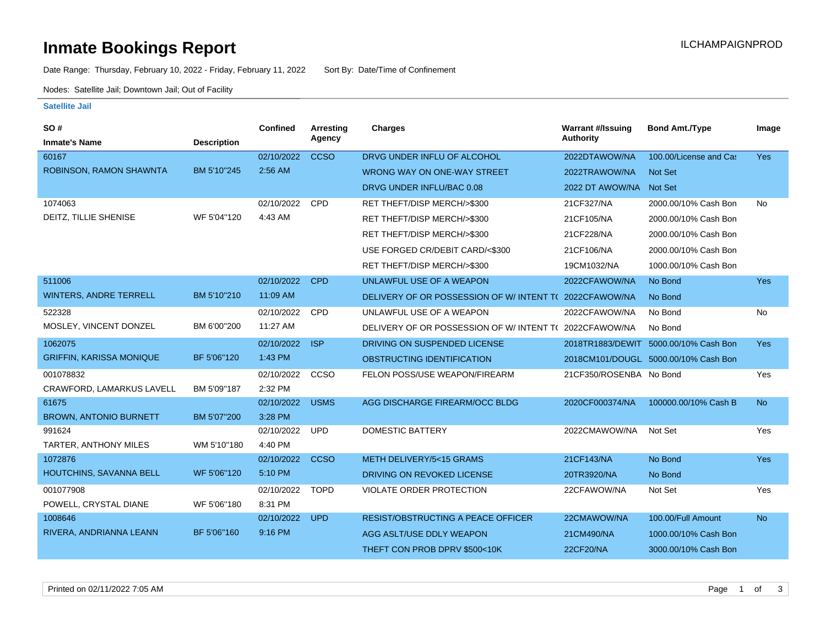# **Inmate Bookings Report Installation Control Control Control Control Control Control Control Control Control Control Control Control Control Control Control Control Control Control Control Control Control Control Control**

Date Range: Thursday, February 10, 2022 - Friday, February 11, 2022 Sort By: Date/Time of Confinement

Nodes: Satellite Jail; Downtown Jail; Out of Facility

#### **Satellite Jail**

| <b>SO#</b>                      |                    | <b>Confined</b> | <b>Arresting</b> | <b>Charges</b>                                        | <b>Warrant #/Issuing</b> | <b>Bond Amt./Type</b>                | Image          |
|---------------------------------|--------------------|-----------------|------------------|-------------------------------------------------------|--------------------------|--------------------------------------|----------------|
| <b>Inmate's Name</b>            | <b>Description</b> |                 | Agency           |                                                       | <b>Authority</b>         |                                      |                |
| 60167                           |                    | 02/10/2022      | <b>CCSO</b>      | DRVG UNDER INFLU OF ALCOHOL                           | 2022DTAWOW/NA            | 100.00/License and Cas               | <b>Yes</b>     |
| ROBINSON, RAMON SHAWNTA         | BM 5'10"245        | 2:56 AM         |                  | WRONG WAY ON ONE-WAY STREET                           | 2022TRAWOW/NA            | <b>Not Set</b>                       |                |
|                                 |                    |                 |                  | DRVG UNDER INFLU/BAC 0.08                             | 2022 DT AWOW/NA          | Not Set                              |                |
| 1074063                         |                    | 02/10/2022      | CPD              | RET THEFT/DISP MERCH/>\$300                           | 21CF327/NA               | 2000.00/10% Cash Bon                 | No             |
| DEITZ, TILLIE SHENISE           | WF 5'04"120        | 4:43 AM         |                  | RET THEFT/DISP MERCH/>\$300                           | 21CF105/NA               | 2000.00/10% Cash Bon                 |                |
|                                 |                    |                 |                  | RET THEFT/DISP MERCH/>\$300                           | 21CF228/NA               | 2000.00/10% Cash Bon                 |                |
|                                 |                    |                 |                  | USE FORGED CR/DEBIT CARD/<\$300                       | 21CF106/NA               | 2000.00/10% Cash Bon                 |                |
|                                 |                    |                 |                  | RET THEFT/DISP MERCH/>\$300                           | 19CM1032/NA              | 1000.00/10% Cash Bon                 |                |
| 511006                          |                    | 02/10/2022      | <b>CPD</b>       | UNLAWFUL USE OF A WEAPON                              | 2022CFAWOW/NA            | No Bond                              | <b>Yes</b>     |
| <b>WINTERS, ANDRE TERRELL</b>   | BM 5'10"210        | 11:09 AM        |                  | DELIVERY OF OR POSSESSION OF W/INTENT TO              | 2022CFAWOW/NA            | No Bond                              |                |
| 522328                          |                    | 02/10/2022      | CPD              | UNLAWFUL USE OF A WEAPON                              | 2022CFAWOW/NA            | No Bond                              | No             |
| MOSLEY, VINCENT DONZEL          | BM 6'00"200        | 11:27 AM        |                  | DELIVERY OF OR POSSESSION OF W/INTENT T(2022CFAWOW/NA |                          | No Bond                              |                |
| 1062075                         |                    | 02/10/2022      | <b>ISP</b>       | DRIVING ON SUSPENDED LICENSE                          | 2018TR1883/DEWIT         | 5000.00/10% Cash Bon                 | Yes            |
| <b>GRIFFIN, KARISSA MONIQUE</b> | BF 5'06"120        | 1:43 PM         |                  | OBSTRUCTING IDENTIFICATION                            |                          | 2018CM101/DOUGL 5000.00/10% Cash Bon |                |
| 001078832                       |                    | 02/10/2022      | CCSO             | FELON POSS/USE WEAPON/FIREARM                         | 21CF350/ROSENBA No Bond  |                                      | Yes            |
| CRAWFORD, LAMARKUS LAVELL       | BM 5'09"187        | 2:32 PM         |                  |                                                       |                          |                                      |                |
| 61675                           |                    | 02/10/2022      | <b>USMS</b>      | AGG DISCHARGE FIREARM/OCC BLDG                        | 2020CF000374/NA          | 100000.00/10% Cash B                 | <b>No</b>      |
| <b>BROWN, ANTONIO BURNETT</b>   | BM 5'07"200        | 3:28 PM         |                  |                                                       |                          |                                      |                |
| 991624                          |                    | 02/10/2022      | <b>UPD</b>       | <b>DOMESTIC BATTERY</b>                               | 2022CMAWOW/NA            | Not Set                              | Yes            |
| TARTER, ANTHONY MILES           | WM 5'10"180        | 4:40 PM         |                  |                                                       |                          |                                      |                |
| 1072876                         |                    | 02/10/2022      | <b>CCSO</b>      | METH DELIVERY/5<15 GRAMS                              | 21CF143/NA               | No Bond                              | Yes            |
| HOUTCHINS, SAVANNA BELL         | WF 5'06"120        | 5:10 PM         |                  | DRIVING ON REVOKED LICENSE                            | 20TR3920/NA              | No Bond                              |                |
| 001077908                       |                    | 02/10/2022      | <b>TOPD</b>      | VIOLATE ORDER PROTECTION                              | 22CFAWOW/NA              | Not Set                              | Yes            |
| POWELL, CRYSTAL DIANE           | WF 5'06"180        | 8:31 PM         |                  |                                                       |                          |                                      |                |
| 1008646                         |                    | 02/10/2022      | <b>UPD</b>       | <b>RESIST/OBSTRUCTING A PEACE OFFICER</b>             | 22CMAWOW/NA              | 100.00/Full Amount                   | N <sub>o</sub> |
| RIVERA, ANDRIANNA LEANN         | BF 5'06"160        | 9:16 PM         |                  | AGG ASLT/USE DDLY WEAPON                              | 21CM490/NA               | 1000.00/10% Cash Bon                 |                |
|                                 |                    |                 |                  | THEFT CON PROB DPRV \$500<10K                         | 22CF20/NA                | 3000.00/10% Cash Bon                 |                |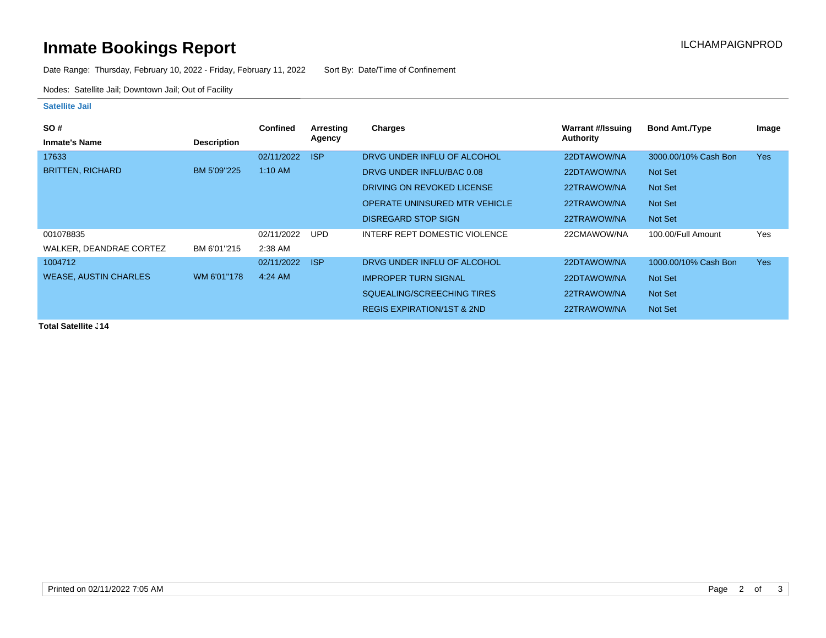# **Inmate Bookings Report Inmate Bookings Report**

Date Range: Thursday, February 10, 2022 - Friday, February 11, 2022 Sort By: Date/Time of Confinement

Nodes: Satellite Jail; Downtown Jail; Out of Facility

### **Satellite Jail**

| SO#                          |                    | <b>Confined</b> | Arresting  | <b>Charges</b>                        | Warrant #/Issuing | <b>Bond Amt./Type</b> | Image      |
|------------------------------|--------------------|-----------------|------------|---------------------------------------|-------------------|-----------------------|------------|
| <b>Inmate's Name</b>         | <b>Description</b> |                 | Agency     |                                       | Authority         |                       |            |
| 17633                        |                    | 02/11/2022      | <b>ISP</b> | DRVG UNDER INFLU OF ALCOHOL           | 22DTAWOW/NA       | 3000.00/10% Cash Bon  | <b>Yes</b> |
| <b>BRITTEN, RICHARD</b>      | BM 5'09"225        | $1:10$ AM       |            | DRVG UNDER INFLU/BAC 0.08             | 22DTAWOW/NA       | Not Set               |            |
|                              |                    |                 |            | DRIVING ON REVOKED LICENSE            | 22TRAWOW/NA       | Not Set               |            |
|                              |                    |                 |            | <b>OPERATE UNINSURED MTR VEHICLE</b>  | 22TRAWOW/NA       | Not Set               |            |
|                              |                    |                 |            | <b>DISREGARD STOP SIGN</b>            | 22TRAWOW/NA       | Not Set               |            |
| 001078835                    |                    | 02/11/2022      | <b>UPD</b> | INTERF REPT DOMESTIC VIOLENCE         | 22CMAWOW/NA       | 100.00/Full Amount    | Yes        |
| WALKER, DEANDRAE CORTEZ      | BM 6'01"215        | 2:38 AM         |            |                                       |                   |                       |            |
| 1004712                      |                    | 02/11/2022      | <b>ISP</b> | DRVG UNDER INFLU OF ALCOHOL           | 22DTAWOW/NA       | 1000.00/10% Cash Bon  | <b>Yes</b> |
| <b>WEASE, AUSTIN CHARLES</b> | WM 6'01"178        | 4:24 AM         |            | <b>IMPROPER TURN SIGNAL</b>           | 22DTAWOW/NA       | Not Set               |            |
|                              |                    |                 |            | SQUEALING/SCREECHING TIRES            | 22TRAWOW/NA       | Not Set               |            |
|                              |                    |                 |            | <b>REGIS EXPIRATION/1ST &amp; 2ND</b> | 22TRAWOW/NA       | Not Set               |            |

**Total Satellite . 14**